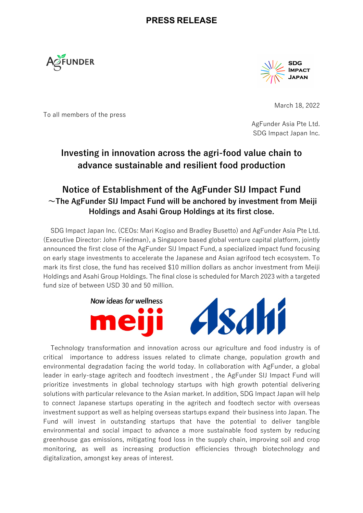



To all members of the press

March 18, 2022

AgFunder Asia Pte Ltd. SDG Impact Japan Inc.

# **Investing in innovation across the agri-food value chain to advance sustainable and resilient food production**

## **Notice of Establishment of the AgFunder SIJ Impact Fund 〜The AgFunder SIJ Impact Fund will be anchored by investment from Meiji Holdings and Asahi Group Holdings at its first close.**

SDG Impact Japan Inc. (CEOs: Mari Kogiso and Bradley Busetto) and AgFunder Asia Pte Ltd. (Executive Director: John Friedman), a Singapore based global venture capital platform, jointly announced the first close of the AgFunder SIJ Impact Fund, a specialized impact fund focusing on early stage investments to accelerate the Japanese and Asian agrifood tech ecosystem. To mark its first close, the fund has received \$10 million dollars as anchor investment from Meiji Holdings and Asahi Group Holdings. The final close is scheduled for March 2023 with a targeted fund size of between USD 30 and 50 million.





Technology transformation and innovation across our agriculture and food industry is of critical importance to address issues related to climate change, population growth and environmental degradation facing the world today. In collaboration with AgFunder, a global leader in early-stage agritech and foodtech investment , the AgFunder SIJ Impact Fund will prioritize investments in global technology startups with high growth potential delivering solutions with particular relevance to the Asian market. In addition, SDG Impact Japan will help to connect Japanese startups operating in the agritech and foodtech sector with overseas investment support as well as helping overseas startups expand their business into Japan. The Fund will invest in outstanding startups that have the potential to deliver tangible environmental and social impact to advance a more sustainable food system by reducing greenhouse gas emissions, mitigating food loss in the supply chain, improving soil and crop monitoring, as well as increasing production efficiencies through biotechnology and digitalization, amongst key areas of interest.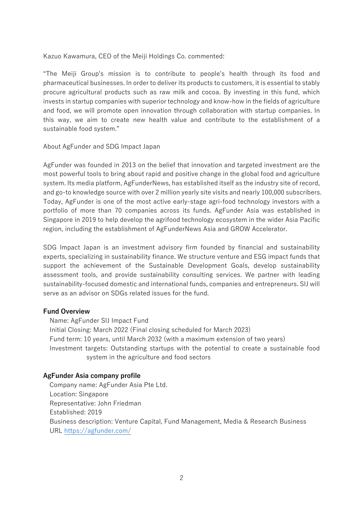Kazuo Kawamura, CEO of the Meiji Holdings Co. commented:

"The Meiji Group's mission is to contribute to people's health through its food and pharmaceutical businesses. In order to deliver its products to customers, it is essential to stably procure agricultural products such as raw milk and cocoa. By investing in this fund, which invests in startup companies with superior technology and know-how in the fields of agriculture and food, we will promote open innovation through collaboration with startup companies. In this way, we aim to create new health value and contribute to the establishment of a sustainable food system."

#### About AgFunder and SDG Impact Japan

AgFunder was founded in 2013 on the belief that innovation and targeted investment are the most powerful tools to bring about rapid and positive change in the global food and agriculture system. Its media platform, AgFunderNews, has established itself as the industry site of record, and go-to knowledge source with over 2 million yearly site visits and nearly 100,000 subscribers. Today, AgFunder is one of the most active early-stage agri-food technology investors with a portfolio of more than 70 companies across its funds. AgFunder Asia was established in Singapore in 2019 to help develop the agrifood technology ecosystem in the wider Asia Pacific region, including the establishment of AgFunderNews Asia and GROW Accelerator.

SDG Impact Japan is an investment advisory firm founded by financial and sustainability experts, specializing in sustainability finance. We structure venture and ESG impact funds that support the achievement of the Sustainable Development Goals, develop sustainability assessment tools, and provide sustainability consulting services. We partner with leading sustainability-focused domestic and international funds, companies and entrepreneurs. SIJ will serve as an advisor on SDGs related issues for the fund.

### **Fund Overview**

Name: AgFunder SIJ Impact Fund Initial Closing: March 2022 (Final closing scheduled for March 2023) Fund term: 10 years, until March 2032 (with a maximum extension of two years) Investment targets: Outstanding startups with the potential to create a sustainable food system in the agriculture and food sectors

### **AgFunder Asia company profile**

Company name: AgFunder Asia Pte Ltd. Location: Singapore Representative: John Friedman Established: 2019 Business description: Venture Capital, Fund Management, Media & Research Business URL https://agfunder.com/